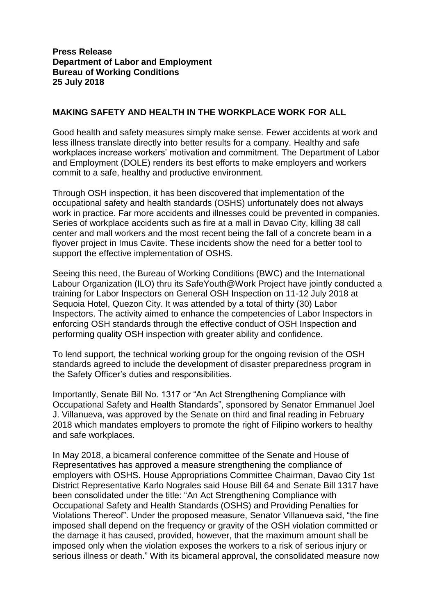**Press Release Department of Labor and Employment Bureau of Working Conditions 25 July 2018**

## **MAKING SAFETY AND HEALTH IN THE WORKPLACE WORK FOR ALL**

Good health and safety measures simply make sense. Fewer accidents at work and less illness translate directly into better results for a company. Healthy and safe workplaces increase workers' motivation and commitment. The Department of Labor and Employment (DOLE) renders its best efforts to make employers and workers commit to a safe, healthy and productive environment.

Through OSH inspection, it has been discovered that implementation of the occupational safety and health standards (OSHS) unfortunately does not always work in practice. Far more accidents and illnesses could be prevented in companies. Series of workplace accidents such as fire at a mall in Davao City, killing 38 call center and mall workers and the most recent being the fall of a concrete beam in a flyover project in Imus Cavite. These incidents show the need for a better tool to support the effective implementation of OSHS.

Seeing this need, the Bureau of Working Conditions (BWC) and the International Labour Organization (ILO) thru its SafeYouth@Work Project have jointly conducted a training for Labor Inspectors on General OSH Inspection on 11-12 July 2018 at Sequoia Hotel, Quezon City. It was attended by a total of thirty (30) Labor Inspectors. The activity aimed to enhance the competencies of Labor Inspectors in enforcing OSH standards through the effective conduct of OSH Inspection and performing quality OSH inspection with greater ability and confidence.

To lend support, the technical working group for the ongoing revision of the OSH standards agreed to include the development of disaster preparedness program in the Safety Officer's duties and responsibilities.

Importantly, Senate Bill No. 1317 or "An Act Strengthening Compliance with Occupational Safety and Health Standards", sponsored by Senator Emmanuel Joel J. Villanueva, was approved by the Senate on third and final reading in February 2018 which mandates employers to promote the right of Filipino workers to healthy and safe workplaces.

In May 2018, a bicameral conference committee of the Senate and House of Representatives has approved a measure strengthening the compliance of employers with OSHS. House Appropriations Committee Chairman, Davao City 1st District Representative Karlo Nograles said House Bill 64 and Senate Bill 1317 have been consolidated under the title: "An Act Strengthening Compliance with Occupational Safety and Health Standards (OSHS) and Providing Penalties for Violations Thereof". Under the proposed measure, Senator Villanueva said, "the fine imposed shall depend on the frequency or gravity of the OSH violation committed or the damage it has caused, provided, however, that the maximum amount shall be imposed only when the violation exposes the workers to a risk of serious injury or serious illness or death." With its bicameral approval, the consolidated measure now